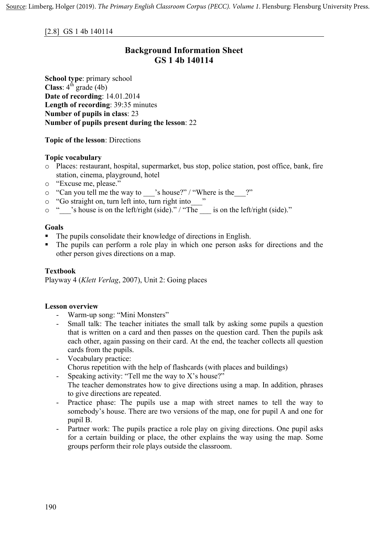[2.8] GS 1 4b 140114

# **Background Information Sheet GS 1 4b 140114**

**School type**: primary school **Class**:  $4^{\text{th}}$  grade (4b) **Date of recording**: 14.01.2014 **Length of recording**: 39:35 minutes **Number of pupils in class**: 23 **Number of pupils present during the lesson**: 22

**Topic of the lesson**: Directions

## **Topic vocabulary**

- o Places: restaurant, hospital, supermarket, bus stop, police station, post office, bank, fire station, cinema, playground, hotel
- o "Excuse me, please."
- o "Can you tell me the way to \_\_\_'s house?" / "Where is the\_\_\_?"
- o "Go straight on, turn left into, turn right into\_\_\_"
- $\circ$  "so statistic of, turn for the left/right (side)." / "The \_\_\_\_ is on the left/right (side)."

### **Goals**

- The pupils consolidate their knowledge of directions in English.
- The pupils can perform a role play in which one person asks for directions and the other person gives directions on a map.

## **Textbook**

Playway 4 (*Klett Verlag*, 2007), Unit 2: Going places

#### **Lesson overview**

- Warm-up song: "Mini Monsters"
- Small talk: The teacher initiates the small talk by asking some pupils a question that is written on a card and then passes on the question card. Then the pupils ask each other, again passing on their card. At the end, the teacher collects all question cards from the pupils.
- Vocabulary practice:
	- Chorus repetition with the help of flashcards (with places and buildings)
- Speaking activity: "Tell me the way to  $X$ 's house?" The teacher demonstrates how to give directions using a map. In addition, phrases to give directions are repeated.
- Practice phase: The pupils use a map with street names to tell the way to somebody's house. There are two versions of the map, one for pupil A and one for pupil B.
- Partner work: The pupils practice a role play on giving directions. One pupil asks for a certain building or place, the other explains the way using the map. Some groups perform their role plays outside the classroom.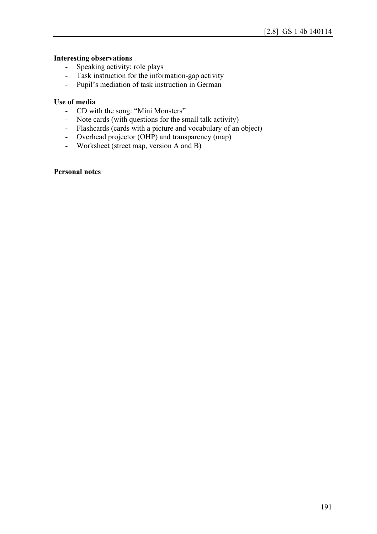#### **Interesting observations**

- Speaking activity: role plays
- Task instruction for the information-gap activity
- Pupil's mediation of task instruction in German

#### **Use of media**

- CD with the song: "Mini Monsters"
- Note cards (with questions for the small talk activity)
- Flashcards (cards with a picture and vocabulary of an object)
- Overhead projector (OHP) and transparency (map)
- Worksheet (street map, version A and B)

## **Personal notes**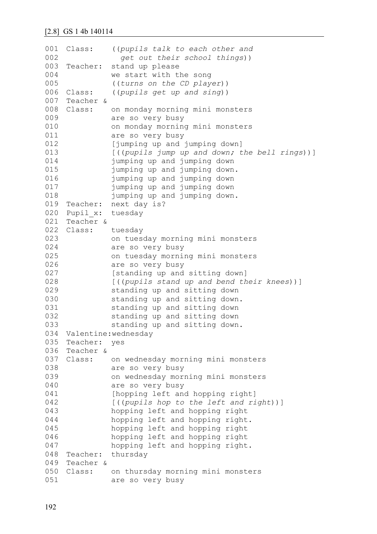```
001 Class:
002
003 Teacher:
0<sub>0</sub>4005
006 Class:
007
Teacher &
008 Class:
009
010
011
012
013
014
015
016
017
018
019
Teacher: next day is?
020
Pupil_x: tuesday
021
Teacher &
022
Class: tuesday 
023
024
025
026
027
028
029
030
031
032
033
034
Valentine:wednesday
035
Teacher: yes
036
Teacher &
037
Class: on wednesday morning mini monsters 
038
039
040
041
042
043
044
045
046
047
048 Teacher:
049
Teacher &
050
Class: on thursday morning mini monsters 
051
               ((pupils talk to each other and
                  get out their school things))
               stand up please
               we start with the song
               ((turns on the CD player))
               Class: ((pupils get up and sing))
            on monday morning mini monsters
               are so very busy 
               on monday morning mini monsters 
               are so very busy 
               [jumping up and jumping down]
               [((pupils jump up and down; the bell rings))]
               jumping up and jumping down 
               jumping up and jumping down. 
               jumping up and jumping down 
               jumping up and jumping down 
               jumping up and jumping down.
               on tuesday morning mini monsters 
               are so very busy 
               on tuesday morning mini monsters 
               are so very busy 
               [standing up and sitting down]
               [((pupils stand up and bend their knees))] 
               standing up and sitting down 
               standing up and sitting down. 
               standing up and sitting down 
               standing up and sitting down 
               standing up and sitting down.
               are so very busy
               on wednesday morning mini monsters 
               are so very busy 
               [hopping left and hopping right]
               [((pupils hop to the left and right))] 
               hopping left and hopping right
               hopping left and hopping right. 
               hopping left and hopping right
               hopping left and hopping right 
               hopping left and hopping right.
               thursday
               are so very busy
```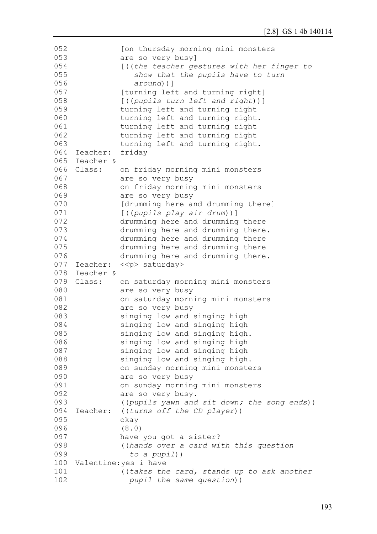```
052
053
054
055
056
057
058
059
060
061
062
063
064
Teacher: friday
065
Teacher &
066 Class:
067
068
069
070
071
072
073
074
075
076
077 Teacher: << p> saturday>
078
Teacher &
079
Class: on saturday morning mini monsters 
080
081
082
083
084
085
086
087
088
089
090
091
092
093
094
Teacher: ((turns off the CD player))
095
096
097
098
099
100
Valentine:yes i have 
101
102
               [on thursday morning mini monsters 
               are so very busy]
               [((the teacher gestures with her finger to
                   show that the pupils have to turn
                  around))] 
               [turning left and turning right]
               [((pupils turn left and right))] 
               turning left and turning right 
               turning left and turning right. 
               turning left and turning right 
               turning left and turning right 
               turning left and turning right.
              on friday morning mini monsters
               are so very busy 
               on friday morning mini monsters 
               are so very busy 
               [drumming here and drumming there] 
               [((pupils play air drum))]
               drumming here and drumming there
               drumming here and drumming there. 
               drumming here and drumming there 
               drumming here and drumming there
               drumming here and drumming there. 
               are so very busy 
               on saturday morning mini monsters 
               are so very busy 
               singing low and singing high 
               singing low and singing high 
               singing low and singing high. 
               singing low and singing high 
               singing low and singing high 
               singing low and singing high. 
               on sunday morning mini monsters 
               are so very busy
               on sunday morning mini monsters 
               are so very busy.
               ((pupils yawn and sit down; the song ends))
               okay
               (8.0) 
               have you got a sister? 
               ((hands over a card with this question 
                  to a pupil))
               ((takes the card, stands up to ask another 
                  pupil the same question))
```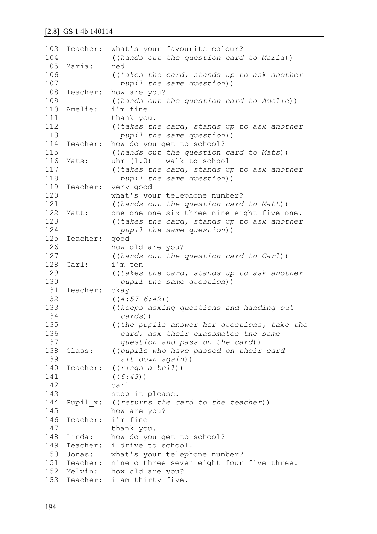103 Teacher: what's your favourite colour? 104 105 Maria: red 106 107 108 Teacher: 109 110 Amelie: 111 112 113 114 Teacher: 115 116 Mats: 117 118 119 Teacher: 120 121 122 Matt: 123 124 125 Teacher: good 126 127 128 Carl: 129 130 131 Teacher: okay 132 133 134 135 136 137 138 139 140 Teacher: 141 142 143 144 Pupil x: 145 146 Teacher: i'm fine 147 148 Linda: 149 Teacher: i drive to school. 150 Jonas: 151 Teacher: nine o three seven eight four five three. 152 Melvin: how old are you? 153 Teacher: i am thirty-five.((*hands out the question card to Maria*)) ((*takes the card, stands up to ask another pupil the same question*)) how are you? ((*hands out the question card to Amelie*)) i'm fine thank you. ((*takes the card, stands up to ask another pupil the same question*)) how do you get to school? ((*hands out the question card to Mats*))  $uhm (1.0)$  i walk to school ((*takes the card, stands up to ask another pupil the same question*)) very good what's your telephone number? ((*hands out the question card to Matt*)) one one one six three nine eight five one. ((*takes the card, stands up to ask another pupil the same question*)) how old are you? ((*hands out the question card to Carl*)) i'm ten ((*takes the card, stands up to ask another pupil the same question*)) ((*4:57-6:42*)) ((*keeps asking questions and handing out cards*)) ((*the pupils answer her questions, take the card, ask their classmates the same question and pass on the card*)) Class: ((*pupils who have passed on their card sit down again*)) Teacher: ((*rings a bell*)) ((*6:49*)) carl stop it please. Pupil\_x: ((*returns the card to the teacher*)) how are you? thank you. how do you get to school? what's your telephone number?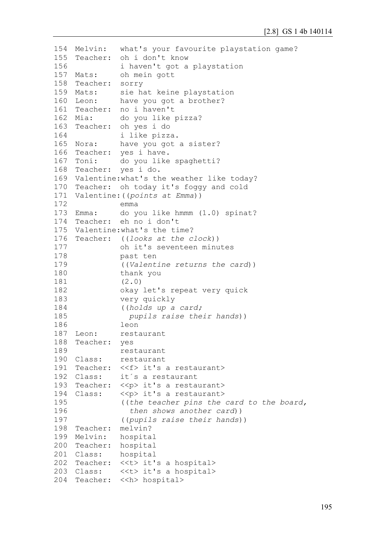```
154
Melvin: what's your favourite playstation game?
155
Teacher: oh i don't know 
156
157 Mats:
158
Teacher: sorry
159 Mats:
160 Leon:
161
Teacher: no i haven't
162 Mia:
163
Teacher: oh yes i do 
164
165 Nora:
166 Teacher:
167 Toni:
168
Teacher: yes i do.
169
Valentine:what's the weather like today?
170
Teacher: oh today it's foggy and cold
171
Valentine:((points at Emma))
172
173 Emma:
174 Teacher:
175
Valentine:what's the time?
176
Teacher: ((looks at the clock)) 
177
178
179
180
181
182
183
184
185
186
187 Leon:
188
Teacher: yes 
189
190 Class:
191 Teacher:
192 Class:
193 Teacher: << p> it's a restaurant>
194 Class:
195
196
197
198
Teacher: melvin?
199 Melvin:
200
Teacher: hospital
201 Class:
202
Teacher: <<t> it's a hospital>
203 Class:
204
Teacher: <<h> hospital>i haven't got a playstation
              oh mein gott
              sie hat keine playstation
              have you got a brother?
              do you like pizza?
              i like pizza.
              have you got a sister?
              yes i have.
              do you like spaghetti?
              emma
              do you like hmmm (1.0) spinat?
              eh no i don't
              oh it's seventeen minutes
              past ten
               ((Valentine returns the card)) 
              thank you
               (2.0)
              okay let's repeat very quick 
              very quickly 
               ((holds up a card;
                pupils raise their hands))
              leon
              restaurant
              restaurant
              restaurant
             Teacher: <<f> it's a restaurant>
              it's a restaurant
              << p> it's a restaurant>
               ((the teacher pins the card to the board,
                 then shows another card))
               ((pupils raise their hands))
              hospital
              hospital
              <<t> it's a hospital>
```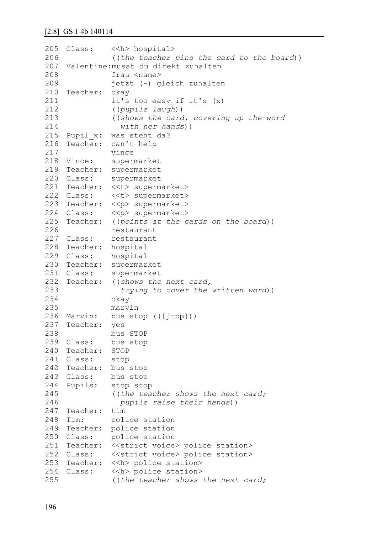```
205 Class:
206
207
Valentine:musst du direkt zuhalten 
208
209
210
Teacher: okay 
211
212
213
214
215
Pupil_x: was steht da?
216 Teacher:
217
218 Vince:
219
Teacher: supermarket
220 Class:
221
Teacher: <<t> supermarket>
222 Class:
223
Teacher: <<p> supermarket>
224 Class:
225
Teacher: ((points at the cards on the board)) 
226
227 Class:
228
Teacher: hospital
229 Class:
230
Teacher: supermarket
231 Class:
232 Teacher:
233
234
235
236 Marvin:
237
Teacher: yes 
238
239 Class:
240
Teacher: STOP
241
Class: stop
242
Teacher: bus stop
243 Class:
244 Pupils:
245
246
247
Teacher: tim
248 Tim:
249
Teacher: police station
250 Class:
251 Teacher: << strict voice> police station>
252 Class:
253
Teacher: <<h> police station>
254 Class:
255
              <<h> hospital>
              ((the teacher pins the card to the board))
              frau <name>
              jetzt (-) gleich zuhalten
              it's too easy if it's (x)
              ((pupils laugh))
              ((shows the card, covering up the word 
                 with her hands))
              can't help
              vince
              supermarket
              supermarket
              <<t> supermarket>
              <<p> supermarket>
              restaurant
              restaurant
             hospital
            supermarket
              ((shows the next card,
                 trying to cover the written word)) 
              okay 
              marvin
              bus stop (([ftp]))
              bus STOP
              bus stop
              bus stop
              stop stop
              ((the teacher shows the next card; 
                 pupils raise their hands))
              police station
              police station
              <<strict voice> police station>
              <<h> police station>
              ((the teacher shows the next card;
```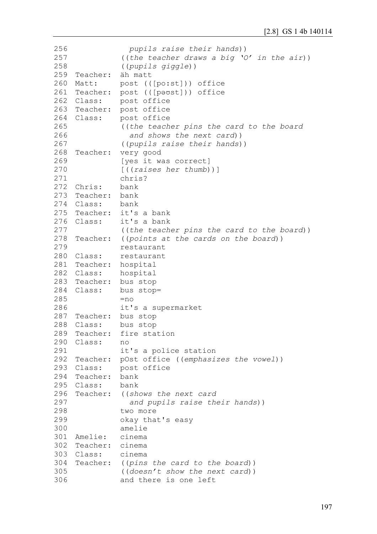```
256
257
258
259
260 Matt:
261
Teacher: post (([pəʊst])) office
262 Class:
263
Teacher: post office
264 Class:
265
266
267
268 Teacher:
269
270
271
272
Chris: bank
273
274
Class: bank
275
Teacher: it's a bank
276 Class:
277
278
Teacher: ((points at the cards on the board))
279
280 Class:
281
Teacher: hospital
282 Class:
283
Teacher: bus stop
284 Class:
285
286
287
Teacher: bus stop
288 Class:
289
Teacher: fire station
290
Class: no 
291
292
Teacher: pOst office ((emphasizes the vowel))
293 Class:
294
Teacher: bank
295
Class: bank
296 Teacher:
297
298
299
300
301
Amelie: cinema
302
Teacher: cinema
303 Class:
304
Teacher: ((pins the card to the board)) 
305
306
                 pupils raise their hands))
               ((the teacher draws a big 'O' in the air))
               ((pupils giggle))
    Teacher: äh matt
              post (([po:st])) office
              post office
              post office
              ((the teacher pins the card to the board
                  and shows the next card))
               ((pupils raise their hands))
              very good
              [yes it was correct]
              [((raises her thumb))] 
              chris?
    Teacher: bank
              it's a bank
              ((the teacher pins the card to the board))
              restaurant
              restaurant
              hospital
              bus stop=
              =n\circit's a supermarket
              bus stop
              it's a police station
             post office
              Teacher: ((shows the next card
                  and pupils raise their hands))
              two more
              okay that's easy 
              amelie
              cinema
              ((doesn't show the next card)) 
              and there is one left
```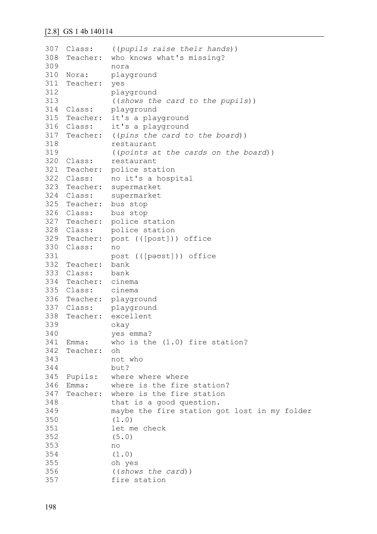```
307 Class:
308 Teacher:
309
310 Nora:
311
Teacher: yes 
312
313
314 Class:
315
Teacher: it's a playground
316 Class:
317 Teacher:
318
319
320 Class:
321
Teacher: police station
322 Class:
323
Teacher: supermarket
324 Class:
325
Teacher: bus stop
326 Class:
327
Teacher: police station
328 Class:
329
Teacher: post (([post])) office
330
Class: no 
331
332
Teacher: bank
333
Class: bank
334
Teacher: cinema
335 Class:
336
Teacher: playground
337 Class:
338
Teacher: excellent 
339
340
341 Emma:
342
343
344
345 Pupils:
346 Emma:
347
348
349
350
351
352
353
354
355
356
357
               ((pupils raise their hands))
              who knows what's missing?
              nora
              playground
              playground 
               ((shows the card to the pupils))
              playground
              it's a playground
              ((pins the card to the board))
              restaurant 
               ((points at the cards on the board))
              restaurant
             no it's a hospital
              supermarket
              bus stop
              police station
              post (([pəʊst])) office
              cinema
              playground
              okay 
              yes emma?
              who is the (1.0) fire station?
    Teacher: oh 
              not who 
              but?
              where where where
              where is the fire station?
    Teacher: where is the fire station 
              that is a good question. 
              maybe the fire station got lost in my folder 
               (1.0)
              let me check 
               (5.0)
              no
               (1.0) 
              oh yes 
               ((shows the card)) 
              fire station
```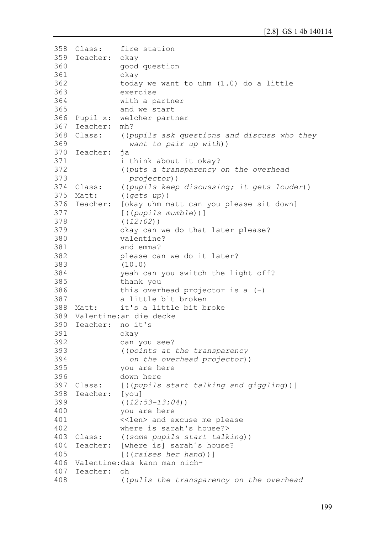```
358 Class:
359
Teacher: okay 
360
361
362
363
364
365
366 Pupil x:
367
Teacher: mh?
368 Class:
369
370
Teacher: ja 
371
372
373
374 Class:
375 Matt:
376 Teacher:
377
378
379
380
381
382
383
384
385
386
387
388 Matt:
389
Valentine:an die decke
390
Teacher: no it's 
391
392
393
394
395
396
397 Class:
398
Teacher: [you]
399
400
401
402
403 Class:
404 Teacher:
405
406
Valentine:das kann man nich-
407
Teacher: oh
408
              fire station
               good question 
               okay 
               today we want to uhm (1.0) do a little 
               exercise 
               with a partner 
               and we start 
               welcher partner
               ((pupils ask questions and discuss who they
                  want to pair up with)) 
               i think about it okay? 
               ((puts a transparency on the overhead
                  projector))
               ((pupils keep discussing; it gets louder))
               Matt: ((gets up))
               [okay uhm matt can you please sit down]
               [((pupils mumble))] 
               ((12:02))
               okay can we do that later please? 
               valentine?
               and emma? 
               please can we do it later?
               (10.0)
               yeah can you switch the light off? 
               thank you 
               this overhead projector is a (-)a little bit broken
               it's a little bit broke
               okay 
               can you see?
               ((points at the transparency
                  on the overhead projector))
               you are here
               down here
               [ ((pupils start talking and giggling))]
               ((12:53-13:04))
               you are here 
               <<len> and excuse me please 
               where is sarah's house?> 
               Class: ((some pupils start talking)) 
               [where is] sarah´s house?
               [((raises her hand))]
               ((pulls the transparency on the overhead
```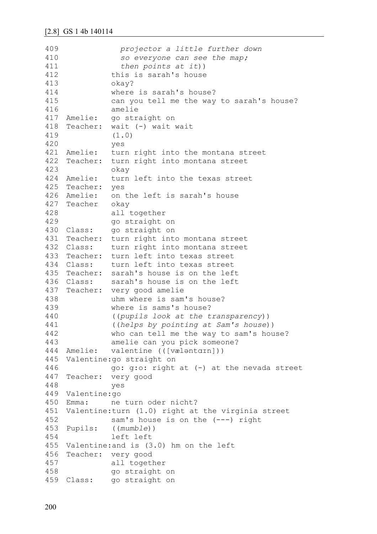```
409
410
411
412
413
414
415
416
417 Amelie:
418
Teacher: wait (-) wait wait 
419
420
421 Amelie:
422
Teacher: turn right into montana street 
423
424 Amelie:
425
Teacher: yes
426 Amelie:
427
Teacher okay 
428
429
430 Class:
431
Teacher: turn right into montana street
432 Class:
433
Teacher: turn left into texas street
434 Class:
435
Teacher: sarah's house is on the left
436 Class:
437
Teacher: very good amelie
438
439
440
441
442
443
444 Amelie:
445
Valentine:go straight on 
446
447
Teacher: very good
448
449
Valentine:go
450 Emma:
451
Valentine:turn (1.0) right at the virginia street 
452
453 Pupils:
454
455
Valentine:and is (3.0) hm on the left
456
Teacher: very good
457
458
459 Class:
                 projector a little further down 
                  so everyone can see the map; 
                  then points at it))
              this is sarah's house 
              okay? 
              where is sarah's house? 
              can you tell me the way to sarah's house? 
              amelie
              go straight on
              (1.0)
              yes
              turn right into the montana street
              okay
              turn left into the texas street
              on the left is sarah's house
              all together 
              go straight on
              go straight on
              turn right into montana street
             turn left into texas street
              sarah's house is on the left
              uhm where is sam's house?
              where is sams's house?
               ((pupils look at the transparency)) 
               ((helps by pointing at Sam's house))
              who can tell me the way to sam's house? 
              amelie can you pick someone?
              valentine (([væləntɑɪn]))
              go: g:o: right at (-) at the nevada street 
              yes
              ne turn oder nicht?
              sam's house is on the (---) right
               Pupils: ((mumble))
              left left
              all together 
              go straight on
            qo straight on
```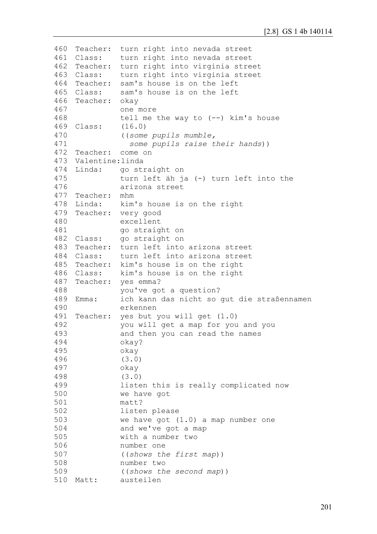```
460
Teacher: turn right into nevada street
461 Class:
462
Teacher: turn right into virginia street 
463 Class:
464
Teacher: sam's house is on the left
465 Class:
466
Teacher: okay 
467
468
469
Class: (16.0)
470
471
472
Teacher: come on 
473
Valentine:linda
474 Linda:
475
476
477
Teacher: mhm
478 Linda:
479
Teacher: very good 
480
481
482
Class: go straight on
483
Teacher: turn left into arizona street
484 Class:
485
Teacher: kim's house is on the right
486
Class: kim's house is on the right
487
Teacher: yes emma? 
488
489 Emma:
490
491
Teacher: yes but you will get (1.0)
492
493
494
495
496
497
498
499
500
501
502
503
504
505
506
507
508
509
510 Matt:
             turn right into nevada street
              turn right into virginia street
              sam's house is on the left
              one more 
              tell me the way to (--) kim's house
               ((some pupils mumble,
                 some pupils raise their hands)) 
             Linda: go straight on 
              turn left äh ja (-) turn left into the 
              arizona street
              kim's house is on the right
              excellent 
              go straight on
              turn left into arizona street
              you've got a question?
              ich kann das nicht so qut die straßennamen
              erkennen
              you will get a map for you and you
              and then you can read the names 
              okay? 
              okay
               (3.0)
              okay
               (3.0)
              listen this is really complicated now 
              we have got
              matt? 
              listen please 
              we have got (1.0) a map number one
              and we've got a map 
              with a number two 
              number one 
              ((shows the first map))
              number two 
              ((shows the second map)) 
          austeilen
```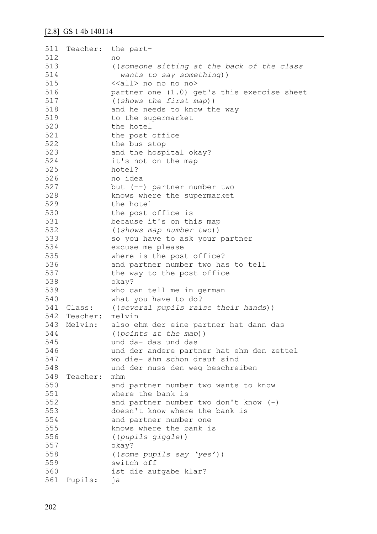| 511 |              | Teacher: the part-                          |
|-----|--------------|---------------------------------------------|
| 512 |              | no                                          |
| 513 |              | ((someone sitting at the back of the class  |
| 514 |              | wants to say something))                    |
| 515 |              | < <all> no no no no&gt;</all>               |
| 516 |              | partner one (1.0) get's this exercise sheet |
| 517 |              |                                             |
|     |              | ((shows the first map))                     |
| 518 |              | and he needs to know the way                |
| 519 |              | to the supermarket                          |
| 520 |              | the hotel                                   |
| 521 |              | the post office                             |
| 522 |              | the bus stop                                |
| 523 |              | and the hospital okay?                      |
| 524 |              | it's not on the map                         |
| 525 |              | hotel?                                      |
| 526 |              | no idea                                     |
| 527 |              | but $(--)$ partner number two               |
| 528 |              | knows where the supermarket                 |
| 529 |              | the hotel                                   |
| 530 |              |                                             |
|     |              | the post office is                          |
| 531 |              | because it's on this map                    |
| 532 |              | ((shows map number two))                    |
| 533 |              | so you have to ask your partner             |
| 534 |              | excuse me please                            |
| 535 |              | where is the post office?                   |
| 536 |              | and partner number two has to tell          |
| 537 |              | the way to the post office                  |
| 538 |              | okay?                                       |
| 539 |              | who can tell me in german                   |
| 540 |              | what you have to do?                        |
|     | 541 Class:   | ((several pupils raise their hands))        |
|     | 542 Teacher: | melvin                                      |
| 543 | Melvin:      | also ehm der eine partner hat dann das      |
| 544 |              | ((points at the map))                       |
|     |              |                                             |
| 545 |              | und da- das und das                         |
| 546 |              | und der andere partner hat ehm den zettel   |
| 547 |              | wo die- ähm schon drauf sind                |
| 548 |              | und der muss den weg beschreiben            |
| 549 | Teacher:     | mhm                                         |
| 550 |              | and partner number two wants to know        |
| 551 |              | where the bank is                           |
| 552 |              | and partner number two don't know (-)       |
| 553 |              | doesn't know where the bank is              |
| 554 |              | and partner number one                      |
| 555 |              | knows where the bank is                     |
| 556 |              | ((pupils giggle))                           |
| 557 |              | okay?                                       |
| 558 |              |                                             |
|     |              | ((some pupils say 'yes'))                   |
| 559 |              | switch off                                  |
| 560 |              | ist die aufgabe klar?                       |
| 561 | Pupils:      | ja                                          |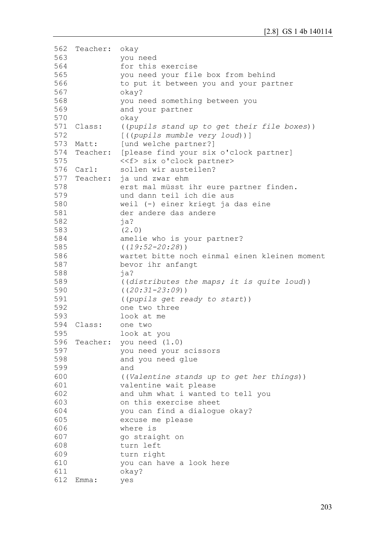```
562
Teacher: okay 
563
564
565
566
567
568
569
570
571 Class:
572
573 Matt:
574
575
576 Carl:
577 Teacher:
578
579
580
581
582
583
584
585
586
587
588
589
590
591
592
593
594
Class: one two 
595
596
Teacher: you need (1.0) 
597
598
599
600
601
602
603
604
605
606
607
608
609
610
611
612
Emma: yesyou need
               for this exercise 
               you need your file box from behind 
               to put it between you and your partner 
               okay? 
               you need something between you 
               and your partner
               okay
               ((pupils stand up to get their file boxes))
               [((pupils mumble very loud))]
               [und welche partner?]
               [please find your six o'clock partner]
               <<f> six o'clock partner>
               sollen wir austeilen?
               ja und zwar ehm
               erst mal müsst ihr eure partner finden. 
               und dann teil ich die aus 
               weil (-) einer kriegt ja das eine
               der andere das andere
               ja?
               (2.0)
               amelie who is your partner?
               ((19:52-20:28))
               wartet bitte noch einmal einen kleinen moment 
               bevor ihr anfangt 
               ja?
               ((distributes the maps; it is quite loud))
               ((20:31-23:09))
               ((pupils get ready to start))
               one two three 
               look at me
               look at you
               you need your scissors 
               and you need glue 
               and 
               ((Valentine stands up to get her things)) 
               valentine wait please 
               and uhm what i wanted to tell you 
               on this exercise sheet 
               you can find a dialogue okay? 
               excuse me please 
               where is 
               go straight on 
               turn left 
               turn right 
               you can have a look here 
               okay?
```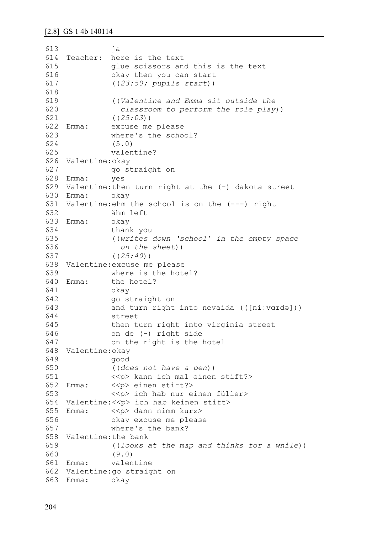613 614 615 616 617 618 619 620 621 622 Emma: 623 624 625 626 Valentine:okay 627 628 Emma: yes 629 Valentine:then turn right at the (-) dakota street 630 Emma: okay 631 Valentine:ehm the school is on the (---) right 632 633 Emma: okay 634 635 636 637 638 Valentine:excuse me please 639 640 Emma: 641 642 643 644 645 646 647 648 Valentine:okay 649 650 651 652 Emma: 653 654 Valentine:<<p> ich hab keinen stift> 655 Emma: 656 657 658 Valentine:the bank 659 660 661 Emma: 662 Valentine:go straight on 663 Emma: okayja Teacher: here is the text glue scissors and this is the text okay then you can start ((*23:50; pupils start*)) ((*Valentine and Emma sit outside the classroom to perform the role play*)) ((*25:03*)) excuse me please where's the school? (5.0) valentine? go straight on ähm left thank you ((*writes down 'school' in the empty space on the sheet*)) ((*25:40*)) where is the hotel? the hotel? okay go straight on and turn right into nevaida (([niːvɑɪdə])) street then turn right into virginia street on de (-) right side on the right is the hotel good ((*does not have a pen*)) <<p> kann ich mal einen stift?> <<p> einen stift?> <<p> ich hab nur einen füller>  $\langle p \rangle$  dann nimm kurz> okay excuse me please where's the bank? ((*looks at the map and thinks for a while*)) (9.0) valentine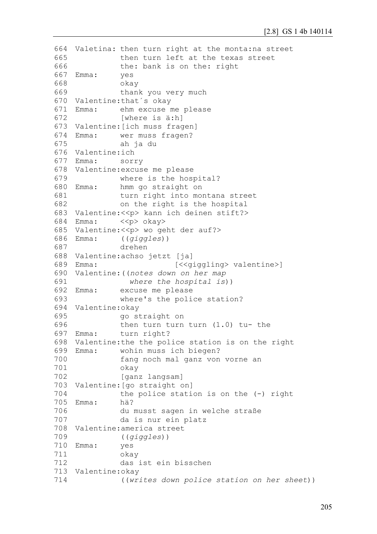```
664
Valetina: then turn right at the monta:na street 
665
666
667
Emma: yes 
668
669
670
Valentine:that´s okay
671 Emma:
672
673
Valentine:[ich muss fragen]
674 Emma:
675
676
Valentine:ich
677 Emma:
678
Valentine:excuse me please 
679
680 Emma:
681
682
683
Valentine:<<p> kann ich deinen stift?> 
684 Emma:
685
Valentine:<<p> wo geht der auf?>
686 Emma:
687
688
Valentine:achso jetzt [ja]
689 Emma:
690
Valentine:((notes down on her map 
691
692 Emma:
693
694
Valentine:okay 
695
696
697 Emma:
698
Valentine:the the police station is on the right
699 Emma:
700
701
702
703
Valentine:[go straight on] 
704
705
Emma: hä? 
706
707
708
Valentine:america street
709
710
Emma: yes 
711
712
713
Valentine:okay 
714
              then turn left at the texas street 
              the: bank is on the: right
              okay 
              thank you very much
              ehm excuse me please
              [where is ä:h]
            wer muss fragen?
              ah ja du
              sorry
              where is the hospital?
              hmm go straight on
              turn right into montana street 
              on the right is the hospital
              \langle p \rangle okay>
              Emma: ((giggles)) 
              drehen 
                           [<<giggling> valentine>]
                 where the hospital is))
              excuse me please
              where's the police station?
              go straight on 
              then turn turn turn (1.0) tu- the
              turn right?
              wohin muss ich biegen?
               fang noch mal ganz von vorne an 
              okay
               [ganz langsam]
              the police station is on the (-) right
              du musst sagen in welche straße 
              da is nur ein platz
               ((giggles))
              okay 
              das ist ein bisschen 
               ((writes down police station on her sheet))
```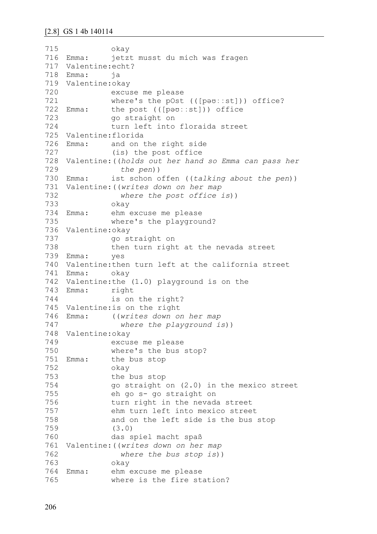```
715
716 Emma:
717
Valentine:echt?
718
Emma: ja
719
Valentine:okay 
720
721
722 Emma:
723
724
725
Valentine:florida 
726 Emma:
727
728
Valentine:((holds out her hand so Emma can pass her 
729
730 Emma:
731
Valentine:((writes down on her map 
732
733
734
735
736
Valentine:okay 
737
738
739
Emma: yes
740
Valentine:then turn left at the california street
741
Emma: okay
742
Valentine:the (1.0) playground is on the 
743 Emma:
744
745
Valentine:is on the right
746 Emma:
747
748
Valentine:okay 
749
750
751
752
753
754
755
756
757
758
759
760
761
Valentine:((writes down on her map 
762
763
764 Emma:
765
               okay
               jetzt musst du mich was fragen
               excuse me please 
               where's the pOst (([pəʊːːst])) office?
               the post (([p\ominus v::st])) office
               go straight on 
               turn left into floraida street
              and on the right side
               (is) the post office
                  the pen))
               ist schon offen ((talking about the pen))
                  where the post office is))
               okay 
               ehm excuse me please
               where's the playground?
               go straight on 
               then turn right at the nevada street 
              right
               is on the right?
               Emma: ((writes down on her map 
                  where the playground is))
              excuse me please 
              where's the bus stop?
              the bus stop
               okay
               the bus stop 
               go straight on (2.0) in the mexico street 
               eh go s- go straight on
               turn right in the nevada street 
               ehm turn left into mexico street 
               and on the left side is the bus stop
               (3.0)
               das spiel macht spaß 
                 where the bus stop is))
               okay
               ehm excuse me please
               where is the fire station?
```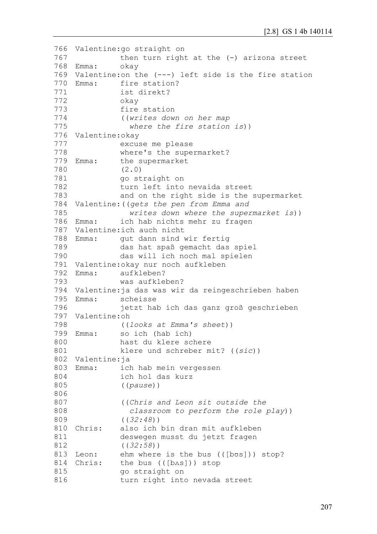```
766
Valentine:go straight on 
767
768
Emma: okay
769
Valentine:on the (---) left side is the fire station
770
Emma: fire station? 
771
772
773
774
775
776
Valentine:okay 
777
778
779 Emma:
780
781
782
783
784
Valentine:((gets the pen from Emma and
785
786 Emma:
787
Valentine:ich auch nicht
788 Emma:
789
790
791
Valentine:okay nur noch aufkleben
792 Emma:
793
794
Valentine:ja das was wir da reingeschrieben haben
795 Fmma:
796
797
Valentine:oh 
798
799 Emma:
800
801
802
Valentine:ja
803
Emma: ich hab mein vergessen
804
805
806
807
808
809
810 Chris:
811
812
813 Leon:
814 Chris:
815
816
              then turn right at the (-) arizona street
              ist direkt? 
              okay 
              fire station 
               ((writes down on her map 
                 where the fire station is))
              excuse me please 
              where's the supermarket?
              the supermarket
              (2.0)
              go straight on 
              turn left into nevaida street
              and on the right side is the supermarket
                  writes down where the supermarket is))
              ich hab nichts mehr zu fragen
              gut dann sind wir fertig
              das hat spaß gemacht das spiel 
              das will ich noch mal spielen
              aufkleben?
              was aufkleben?
              scheisse
              jetzt hab ich das ganz groß geschrieben
              ((looks at Emma's sheet))
              so ich (hab ich)
              hast du klere schere 
              klere und schreber mit? ((sic))
              ich hol das kurz
               ((pause))
               ((Chris and Leon sit outside the 
                  classroom to perform the role play))
               ((32:48))
              also ich bin dran mit aufkleben
              deswegen musst du jetzt fragen
              ((32:58))
              ehm where is the bus (([bʊs])) stop?
              the bus (([b^s])) stop
              go straight on 
              turn right into nevada street
```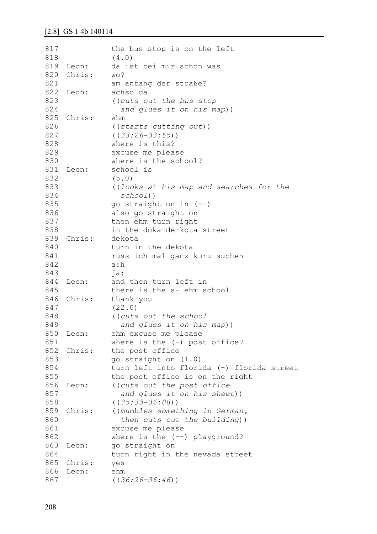| 817 |        | the bus stop is on the left               |
|-----|--------|-------------------------------------------|
| 818 |        | (4.0)                                     |
| 819 | Leon:  | da ist bei mir schon was                  |
| 820 | Chris: | wo?                                       |
| 821 |        | am anfang der straße?                     |
| 822 | Leon:  | achso da                                  |
| 823 |        | ((cuts out the bus stop                   |
| 824 |        | and glues it on his map))                 |
| 825 | Chris: | ehm                                       |
| 826 |        | ((starts cutting out))                    |
| 827 |        | $((33:26-33:55))$                         |
| 828 |        | where is this?                            |
| 829 |        | excuse me please                          |
| 830 |        | where is the school?                      |
| 831 | Leon:  | school is                                 |
| 832 |        | (5.0)                                     |
| 833 |        | ((looks at his map and searches for the   |
| 834 |        | $school)$ )                               |
| 835 |        | go straight on in $(--)$                  |
| 836 |        | also go straight on                       |
| 837 |        | then ehm turn right                       |
| 838 |        | in the doka-de-kota street                |
| 839 | Chris: | dekota                                    |
| 840 |        | turn in the dekota                        |
| 841 |        | muss ich mal ganz kurz suchen             |
| 842 |        | a:h                                       |
| 843 |        | $j$ a:                                    |
| 844 | Leon:  | and then turn left in                     |
| 845 |        | there is the s- ehm school                |
| 846 | Chris: | thank you                                 |
| 847 |        | (22.0)                                    |
| 848 |        | ((cuts out the school                     |
| 849 |        | and glues it on his map))                 |
| 850 | Leon:  | ehm excuse me please                      |
| 851 |        | where is the $(-)$ post office?           |
| 852 | Chris: | the post office                           |
| 853 |        | go straight on (1.0)                      |
| 854 |        | turn left into florida (-) florida street |
| 855 |        | the post office is on the right           |
| 856 | Leon:  | ((cuts out the post office                |
| 857 |        | and glues it on his sheet))               |
| 858 |        | $((35:33-36:08))$                         |
| 859 | Chris: | ((mumbles something in German,            |
| 860 |        | then cuts out the building))              |
| 861 |        | excuse me please                          |
| 862 |        | where is the $(--)$ playground?           |
| 863 | Leon:  | go straight on                            |
| 864 |        | turn right in the nevada street           |
| 865 | Chris: | yes                                       |
| 866 | Leon:  | ehm                                       |
| 867 |        | $((36:26-36:46))$                         |